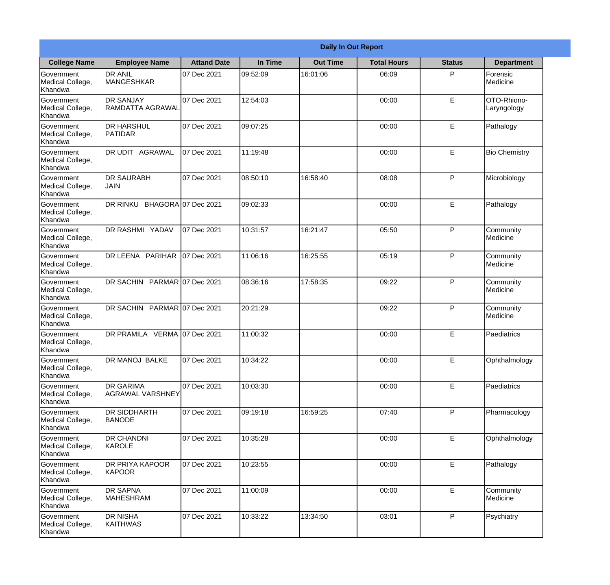|                                                  | <b>Daily In Out Report</b>                  |                    |          |                 |                    |               |                            |  |
|--------------------------------------------------|---------------------------------------------|--------------------|----------|-----------------|--------------------|---------------|----------------------------|--|
| <b>College Name</b>                              | <b>Employee Name</b>                        | <b>Attand Date</b> | In Time  | <b>Out Time</b> | <b>Total Hours</b> | <b>Status</b> | <b>Department</b>          |  |
| Government<br>Medical College,<br>Khandwa        | <b>DR ANIL</b><br><b>MANGESHKAR</b>         | 07 Dec 2021        | 09:52:09 | 16:01:06        | 06:09              | P             | Forensic<br>Medicine       |  |
| Government<br>Medical College,<br>Khandwa        | <b>DR SANJAY</b><br>RAMDATTA AGRAWAL        | 07 Dec 2021        | 12:54:03 |                 | 00:00              | E             | OTO-Rhiono-<br>Laryngology |  |
| <b>Government</b><br>Medical College,<br>Khandwa | <b>DR HARSHUL</b><br>PATIDAR                | 07 Dec 2021        | 09:07:25 |                 | 00:00              | E             | Pathalogy                  |  |
| Government<br>Medical College,<br>Khandwa        | DR UDIT AGRAWAL                             | 07 Dec 2021        | 11:19:48 |                 | 00:00              | $\mathsf E$   | <b>Bio Chemistry</b>       |  |
| <b>Government</b><br>Medical College,<br>Khandwa | <b>DR SAURABH</b><br><b>JAIN</b>            | 07 Dec 2021        | 08:50:10 | 16:58:40        | 08:08              | P             | Microbiology               |  |
| Government<br>Medical College,<br>Khandwa        | DR RINKU BHAGORA 07 Dec 2021                |                    | 09:02:33 |                 | 00:00              | E             | Pathalogy                  |  |
| Government<br>Medical College,<br>Khandwa        | DR RASHMI YADAV                             | 07 Dec 2021        | 10:31:57 | 16:21:47        | 05:50              | P             | Community<br>Medicine      |  |
| Government<br>Medical College,<br>Khandwa        | DR LEENA PARIHAR 07 Dec 2021                |                    | 11:06:16 | 16:25:55        | 05:19              | P             | Community<br>Medicine      |  |
| Government<br>Medical College,<br>Khandwa        | DR SACHIN PARMAR 07 Dec 2021                |                    | 08:36:16 | 17:58:35        | 09:22              | P             | Community<br>Medicine      |  |
| Government<br>Medical College,<br>Khandwa        | DR SACHIN PARMAR 07 Dec 2021                |                    | 20:21:29 |                 | 09:22              | P             | Community<br>Medicine      |  |
| Government<br>Medical College,<br>Khandwa        | DR PRAMILA VERMA 07 Dec 2021                |                    | 11:00:32 |                 | 00:00              | E             | Paediatrics                |  |
| Government<br>Medical College,<br>Khandwa        | DR MANOJ BALKE                              | 07 Dec 2021        | 10:34:22 |                 | 00:00              | E             | Ophthalmology              |  |
| Government<br>Medical College,<br>Khandwa        | <b>DR GARIMA</b><br><b>AGRAWAL VARSHNEY</b> | 07 Dec 2021        | 10:03:30 |                 | 00:00              | E             | Paediatrics                |  |
| Government<br>Medical College,<br>Khandwa        | <b>DR SIDDHARTH</b><br><b>BANODE</b>        | 07 Dec 2021        | 09:19:18 | 16:59:25        | 07:40              | P             | Pharmacology               |  |
| Government<br>Medical College,<br>Khandwa        | <b>DR CHANDNI</b><br>KAROLE                 | 07 Dec 2021        | 10:35:28 |                 | 00:00              | E             | Ophthalmology              |  |
| Government<br>Medical College,<br>Khandwa        | <b>DR PRIYA KAPOOR</b><br>KAPOOR            | 07 Dec 2021        | 10:23:55 |                 | 00:00              | $\mathsf E$   | Pathalogy                  |  |
| Government<br>Medical College,<br>Khandwa        | <b>DR SAPNA</b><br><b>MAHESHRAM</b>         | 07 Dec 2021        | 11:00:09 |                 | 00:00              | $\mathsf E$   | Community<br>Medicine      |  |
| Government<br>Medical College,<br>Khandwa        | <b>DR NISHA</b><br>KAITHWAS                 | 07 Dec 2021        | 10:33:22 | 13:34:50        | 03:01              | P             | Psychiatry                 |  |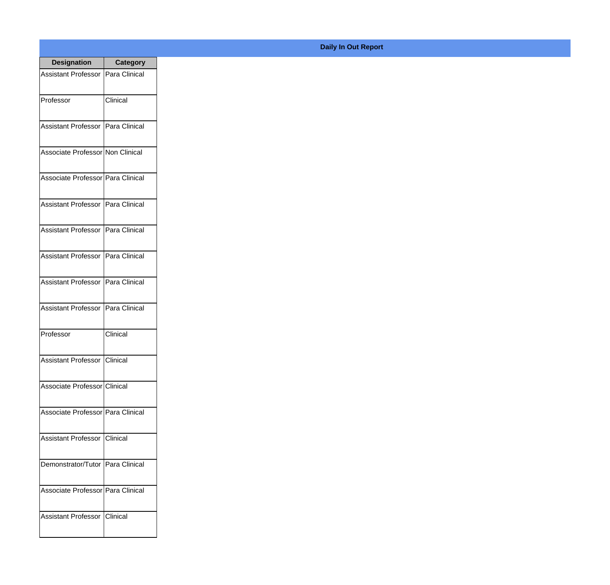| <b>Designation</b>                  | <b>Category</b> |
|-------------------------------------|-----------------|
| Assistant Professor   Para Clinical |                 |
| Professor                           | Clinical        |
| Assistant Professor   Para Clinical |                 |
| Associate Professor Non Clinical    |                 |
| Associate Professor   Para Clinical |                 |
| Assistant Professor   Para Clinical |                 |
| Assistant Professor   Para Clinical |                 |
| Assistant Professor   Para Clinical |                 |
| Assistant Professor   Para Clinical |                 |
| <b>Assistant Professor</b>          | Para Clinical   |
| Professor                           | Clinical        |
| Assistant Professor   Clinical      |                 |
| Associate Professor Clinical        |                 |
| Associate Professor   Para Clinical |                 |
| Assistant Professor   Clinical      |                 |
| Demonstrator/Tutor   Para Clinical  |                 |
| Associate Professor   Para Clinical |                 |
| Assistant Professor   Clinical      |                 |

## **Daily In Out Report**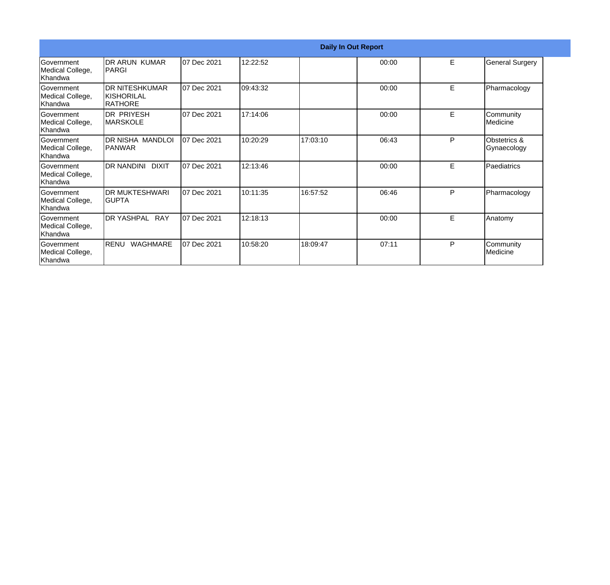| <b>Daily In Out Report</b>                       |                                                  |             |          |          |       |   |                             |
|--------------------------------------------------|--------------------------------------------------|-------------|----------|----------|-------|---|-----------------------------|
| Government<br>Medical College,<br>Khandwa        | DR ARUN KUMAR<br><b>PARGI</b>                    | 07 Dec 2021 | 12:22:52 |          | 00:00 | E | <b>General Surgery</b>      |
| Government<br>Medical College,<br>Khandwa        | <b>DR NITESHKUMAR</b><br>IKISHORILAL<br>IRATHORE | 07 Dec 2021 | 09:43:32 |          | 00:00 | E | Pharmacology                |
| Government<br>Medical College,<br>Khandwa        | IDR PRIYESH<br><b>MARSKOLE</b>                   | 07 Dec 2021 | 17:14:06 |          | 00:00 | E | Community<br>Medicine       |
| Government<br>Medical College,<br>lKhandwa       | <b>DR NISHA MANDLOI</b><br><b>PANWAR</b>         | 07 Dec 2021 | 10:20:29 | 17:03:10 | 06:43 | P | Obstetrics &<br>Gynaecology |
| Government<br>Medical College,<br>Khandwa        | DR NANDINI DIXIT                                 | 07 Dec 2021 | 12:13:46 |          | 00:00 | E | Paediatrics                 |
| Government<br>Medical College,<br>Khandwa        | <b>DR MUKTESHWARI</b><br>IGUPTA                  | 07 Dec 2021 | 10:11:35 | 16:57:52 | 06:46 | P | Pharmacology                |
| Government<br>Medical College,<br><b>Khandwa</b> | DR YASHPAL RAY                                   | 07 Dec 2021 | 12:18:13 |          | 00:00 | E | Anatomy                     |
| Government<br>Medical College,<br>Khandwa        | RENU<br><b>WAGHMARE</b>                          | 07 Dec 2021 | 10:58:20 | 18:09:47 | 07:11 | P | Community<br>Medicine       |